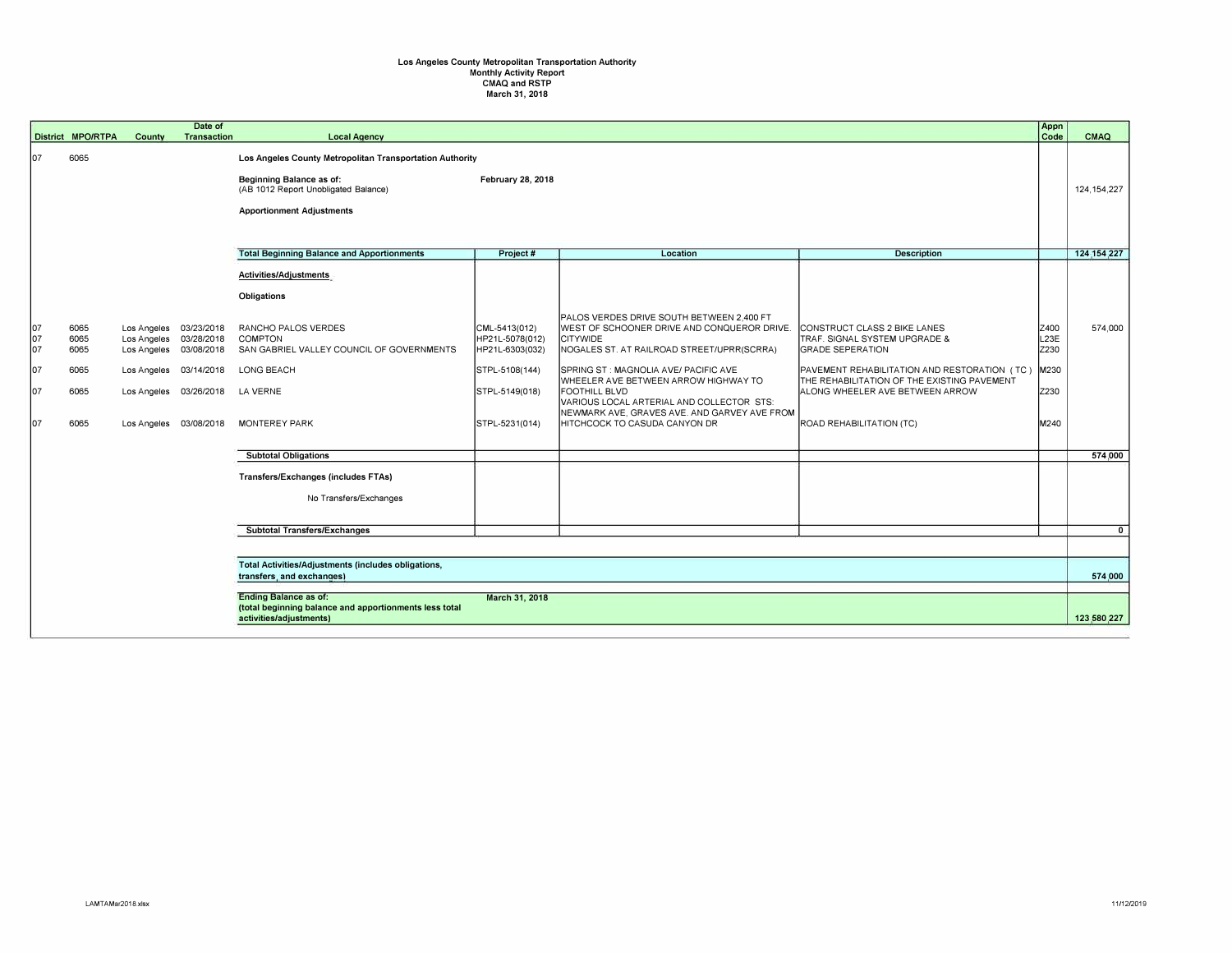## **Los Angeles County Metropolitan Transportation Authority**  Monthly Activity Report CMAQ and RSTP March 31, 2018

|            | District MPO/RTPA                                                                                                                   | County                     | Date of<br>Transaction   | <b>Local Agency</b>                                              |                                    |                                                                                          |                                                                                             | Appn<br>Code             | CMAQ          |
|------------|-------------------------------------------------------------------------------------------------------------------------------------|----------------------------|--------------------------|------------------------------------------------------------------|------------------------------------|------------------------------------------------------------------------------------------|---------------------------------------------------------------------------------------------|--------------------------|---------------|
| lo7        | 6065                                                                                                                                |                            |                          | Los Angeles County Metropolitan Transportation Authority         |                                    |                                                                                          |                                                                                             |                          |               |
|            |                                                                                                                                     |                            |                          | Beginning Balance as of:<br>(AB 1012 Report Unobligated Balance) | February 28, 2018                  |                                                                                          |                                                                                             |                          | 124, 154, 227 |
|            |                                                                                                                                     |                            |                          | <b>Apportionment Adjustments</b>                                 |                                    |                                                                                          |                                                                                             |                          |               |
|            |                                                                                                                                     |                            |                          |                                                                  |                                    |                                                                                          |                                                                                             |                          |               |
|            |                                                                                                                                     |                            |                          | <b>Total Beginning Balance and Apportionments</b>                | Project #                          | Location                                                                                 | <b>Description</b>                                                                          |                          | 124.154.227   |
|            |                                                                                                                                     |                            |                          | Activities/Adjustments                                           |                                    |                                                                                          |                                                                                             |                          |               |
|            |                                                                                                                                     |                            |                          | Obligations                                                      |                                    |                                                                                          |                                                                                             |                          |               |
| 07         | 6065                                                                                                                                | Los Angeles                | 03/23/2018               | RANCHO PALOS VERDES                                              | CML-5413(012)                      | PALOS VERDES DRIVE SOUTH BETWEEN 2,400 FT<br>WEST OF SCHOONER DRIVE AND CONQUEROR DRIVE. | CONSTRUCT CLASS 2 BIKE LANES                                                                | Z400                     | 574,000       |
| 107<br>107 | 6065<br>6065                                                                                                                        | Los Angeles<br>Los Angeles | 03/28/2018<br>03/08/2018 | <b>COMPTON</b><br>SAN GABRIEL VALLEY COUNCIL OF GOVERNMENTS      | HP21L-5078(012)<br>HP21L-6303(032) | <b>CITYWIDE</b><br>NOGALES ST. AT RAILROAD STREET/UPRR(SCRRA)                            | TRAF. SIGNAL SYSTEM UPGRADE &<br><b>GRADE SEPERATION</b>                                    | L <sub>23E</sub><br>Z230 |               |
| 07         | 6065                                                                                                                                | Los Angeles                | 03/14/2018               | LONG BEACH                                                       | STPL-5108(144)                     | SPRING ST: MAGNOLIA AVE/ PACIFIC AVE<br>WHEELER AVE BETWEEN ARROW HIGHWAY TO             | PAVEMENT REHABILITATION AND RESTORATION (TC)<br>THE REHABILITATION OF THE EXISTING PAVEMENT | M230                     |               |
| 107        | 6065                                                                                                                                | Los Angeles                | 03/26/2018               | LA VERNE                                                         | STPL-5149(018)                     | <b>FOOTHILL BLVD</b><br>VARIOUS LOCAL ARTERIAL AND COLLECTOR STS:                        | ALONG WHEELER AVE BETWEEN ARROW                                                             | Z230                     |               |
| 107        | 6065                                                                                                                                |                            | Los Angeles 03/08/2018   | <b>MONTEREY PARK</b>                                             | STPL-5231(014)                     | NEWMARK AVE, GRAVES AVE. AND GARVEY AVE FROM<br>HITCHCOCK TO CASUDA CANYON DR            | ROAD REHABILITATION (TC)                                                                    | M240                     |               |
|            |                                                                                                                                     |                            |                          | <b>Subtotal Obligations</b>                                      |                                    |                                                                                          |                                                                                             |                          | 574,000       |
|            |                                                                                                                                     |                            |                          | Transfers/Exchanges (includes FTAs)                              |                                    |                                                                                          |                                                                                             |                          |               |
|            |                                                                                                                                     |                            |                          | No Transfers/Exchanges                                           |                                    |                                                                                          |                                                                                             |                          |               |
|            |                                                                                                                                     |                            |                          | <b>Subtotal Transfers/Exchanges</b>                              |                                    |                                                                                          |                                                                                             |                          | $\mathbf{0}$  |
|            |                                                                                                                                     |                            |                          |                                                                  |                                    |                                                                                          |                                                                                             |                          |               |
|            | Total Activities/Adjustments (includes obligations,<br>transfers, and exchanges)                                                    |                            |                          |                                                                  |                                    |                                                                                          |                                                                                             |                          | 574,000       |
|            |                                                                                                                                     |                            |                          |                                                                  |                                    |                                                                                          |                                                                                             |                          |               |
|            | <b>Ending Balance as of:</b><br>March 31, 2018<br>(total beginning balance and apportionments less total<br>activities/adjustments) |                            |                          |                                                                  |                                    |                                                                                          |                                                                                             |                          | 123,580,227   |
|            |                                                                                                                                     |                            |                          |                                                                  |                                    |                                                                                          |                                                                                             |                          |               |